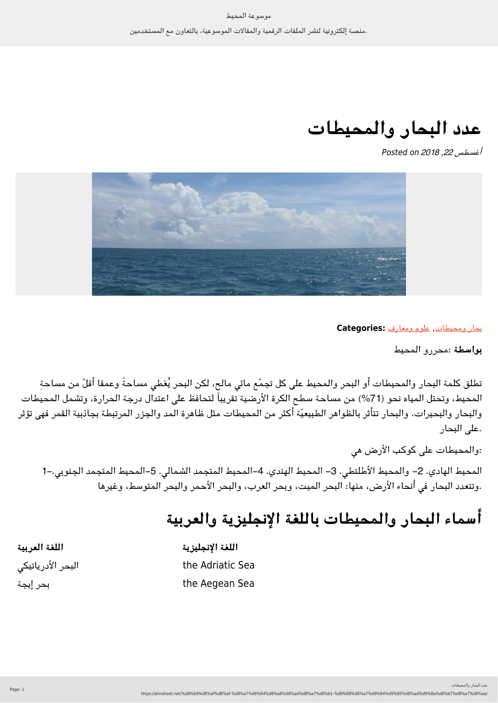**عدد البحار والمحيطات**

Posted on *2018 ,22 أغسطس*



[بحار ومحيطات](https://almoheet.net/category/%d8%a8%d8%ad%d8%a7%d8%b1-%d9%88%d9%85%d8%ad%d9%8a%d8%b7%d8%a7%d8%aa/), [علوم ومعارف](https://almoheet.net/category/%d8%b9%d9%84%d9%88%d9%85-%d9%88%d9%85%d8%b9%d8%a7%d8%b1%d9%81/) **:Categories**

**بواسطة** :محررو المحيط

تطلق كلمة البحار والمحيطات أو البحر والمحيط على كل تجمّع مائى مالح، لكن البحر يُغطى مساحةً وعمقا أقلّ من مساحةٍ المحيط، وتحتل المياه نحو (%71) من مساحة سطح الرة الأرضية تقريباً لتحافظ عل اعتدال درجة الحرارة، وتشمل المحيطات والبحار والبحيرات. والبحار تتأثر بالظواهر الطبيعيّة أكثر من المحيطات مثل ظاهرة المد والجزر المرتبطة بجاذبية القمر فهى تؤثر .على البحار

:والمحيطات على كوكب الأرض هي

المحيط الهادي. 2– والمحيط الأطلنطي. 3– المحيط الهندي. 4–المحيط المتجمد الشمالي. 5–المحيط المتجمد الجنوبي.–1 .وتتعدد البحار فى أنحاء الأرض، منها: البحر الميت، وبحر العرب، والبحر الأحمر والبحر المتوسط، وغيرها

## **أسماء البحار والمحيطات باللغة الإنجليزية والعربية**

| اللغة العربية     | اللغة الإنجليزية |
|-------------------|------------------|
| البحر الأدرياتيكى | the Adriatic Sea |
| بحر إيجة          | the Aegean Sea   |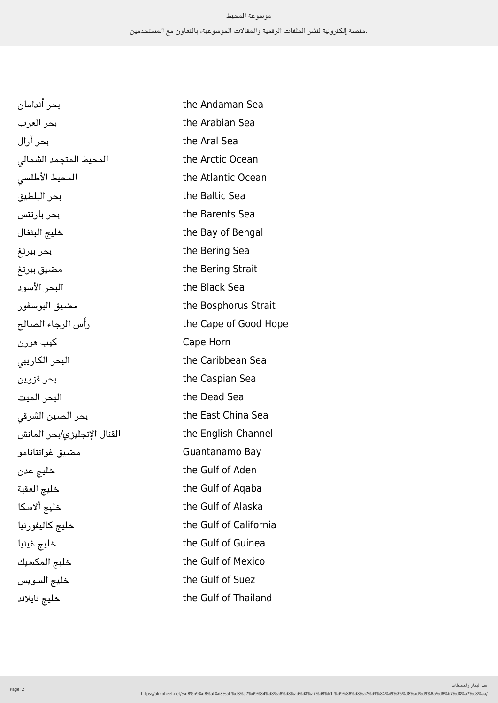| بحر أندامان                 | the Andaman Sea        |
|-----------------------------|------------------------|
| بحر العرب                   | the Arabian Sea        |
| بحر آرال                    | the Aral Sea           |
| المحيط المتجمد الشمالى      | the Arctic Ocean       |
| المحيط الأطلسى              | the Atlantic Ocean     |
| بحر البلطيق                 | the Baltic Sea         |
| بحر بارنتس                  | the Barents Sea        |
| خليج البنغال                | the Bay of Bengal      |
| بحر بيرنغ                   | the Bering Sea         |
| مضيق بيرنغ                  | the Bering Strait      |
| البحر الأسود                | the Black Sea          |
| مضيق البوسفور               | the Bosphorus Strait   |
| رأس الرجاء الصالح           | the Cape of Good Hope  |
| کیب هورن                    | Cape Horn              |
| البحر الكاريبى              | the Caribbean Sea      |
| بحر قزوين                   | the Caspian Sea        |
| البحر الميت                 | the Dead Sea           |
| بحر الصين الشرقى            | the East China Sea     |
| القنال الإنجليزي/بحر المانش | the English Channel    |
| مضيق غوانتانامو             | Guantanamo Bay         |
| خليج عدن                    | the Gulf of Aden       |
| خليج العقبة                 | the Gulf of Agaba      |
| خليج ألاسكا                 | the Gulf of Alaska     |
| خليج كاليفورنيا             | the Gulf of California |
| خليج غينيا                  | the Gulf of Guinea     |
| خليج المكسيك                | the Gulf of Mexico     |
| خليج السويس                 | the Gulf of Suez       |
| خليج تايلاند                | the Gulf of Thailand   |